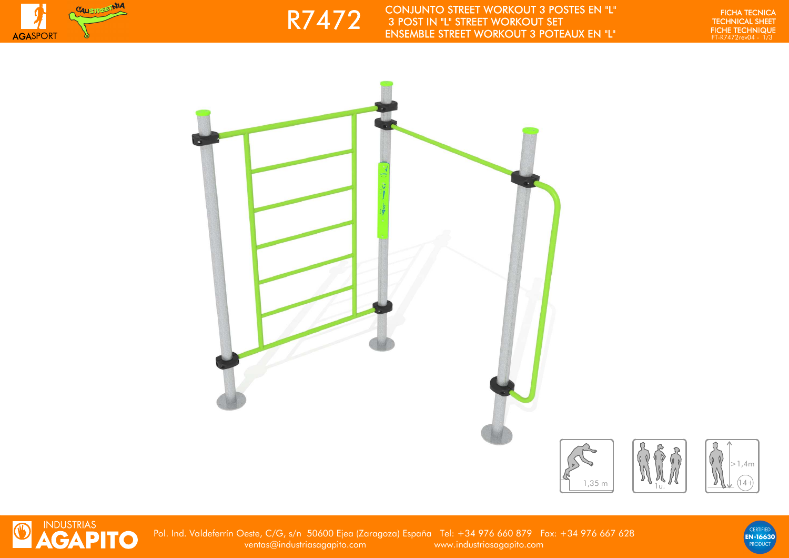



EN TECHNICAL SHEET WORKOUT 3 POSTES EN "L"<br>FIGHA TECHNICAL SHEET AND RESERVED BY THE PRESERVED OF THE PRESENT OF THE PRESENT AND ENGLAND ENTERT AND RESERVED TO THE PRESENT AND RESERVED OF THE PRESENT AND RESERVED OF THE PR

FICHA TECNICA<br>TECHNICAL SHEET<br>FICHE TECHNIQUE





Pol. Ind. Valdeferrín Oeste, C/G, s/n 50600 Ejea (Zaragoza) España Tel: +34 976 660 879 Fax: +34 976 667 628ventas@industriasagapito.com www.industriasagapito.com

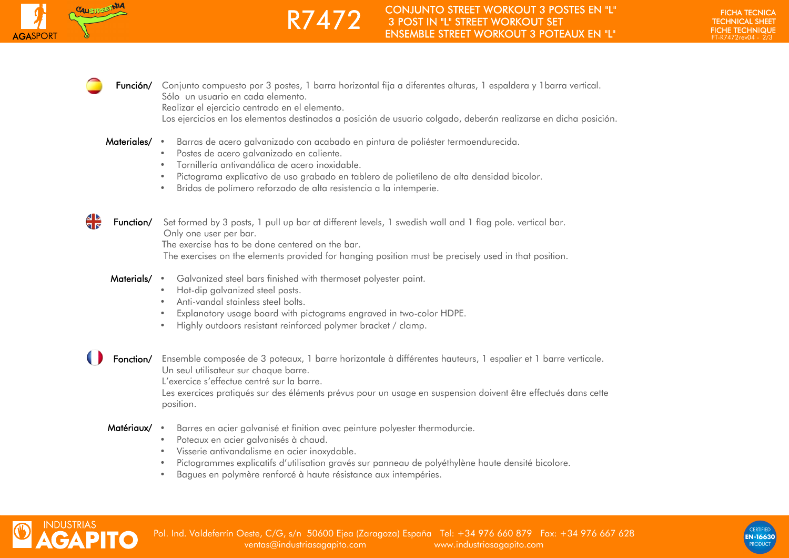

**Función/** Conjunto compuesto por 3 postes, 1 barra horizontal fija a diferentes alturas, 1 espaldera y 1barra vertical. Sólo un usuario en cada elemento.

Realizar el ejercicio centrado en el elemento.

Los ejercicios en los elementos destinados a posición de usuario colgado, deberán realizarse en dicha posición.

Materiales/ • Barras de acero galvanizado con acabado en pintura de poliéster termoendurecida.

R7472

- •Postes de acero galvanizado en caliente.
- •Tornillería antivandálica de acero inoxidable.
- •Pictograma explicativo de uso grabado en tablero de polietileno de alta densidad bicolor.
- •Bridas de polímero reforzado de alta resistencia a la intemperie.



Function/ Set formed by 3 posts, 1 pull up bar at different levels, 1 swedish wall and 1 flag pole, vertical bar. Only one user per bar.

The exercise has to be done centered on the bar.

The exercises on the elements provided for hanging position must be precisely used in that position.

- Materials/ Galvanized steel bars finished with thermoset polyester paint.
	- •Hot-dip galvanized steel posts.
	- •Anti-vandal stainless steel bolts.
	- •Explanatory usage board with pictograms engraved in two-color HDPE.
	- •Highly outdoors resistant reinforced polymer bracket / clamp.

**Fonction/** Ensemble composée de 3 poteaux, 1 barre horizontale à différentes hauteurs, 1 espalier et 1 barre verticale. Un seul utilisateur sur chaque barre.

L'exercice s'effectue centré sur la barre.

 Les exercices pratiqués sur des éléments prévus pour un usage en suspension doivent être effectués dans cette position.

## Matériaux/ • Barres en acier galvanisé et finition avec peinture polyester thermodurcie.

- •Poteaux en acier galvanisés à chaud.
- •Visserie antivandalisme en acier inoxydable.
- •Pictogrammes explicatifs d'utilisation gravés sur panneau de polyéthylène haute densité bicolore.
- •Bagues en polymère renforcé à haute résistance aux intempéries.